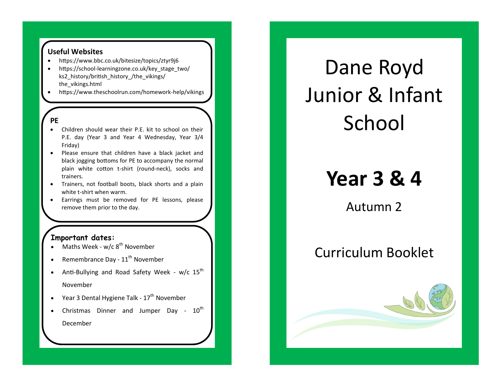### **Useful Websites**

- https://www.bbc.co.uk/bitesize/topics/ztyr9j6
- https://school-learningzone.co.uk/key\_stage\_two/ ks2\_history/british\_history\_/the\_vikings/ the\_vikings.html
- https://www.theschoolrun.com/homework-help/vikings

#### **PE**

- Children should wear their P.E. kit to school on their P.E. day (Year 3 and Year 4 Wednesday, Year 3/4 Friday)
- Please ensure that children have a black jacket and black jogging bottoms for PE to accompany the normal plain white cotton t-shirt (round-neck), socks and trainers.
- Trainers, not football boots, black shorts and a plain white t-shirt when warm.
- Earrings must be removed for PE lessons, please remove them prior to the day.

### **Important dates:**

- Maths Week  $w/c$  8<sup>th</sup> November
- Remembrance Day 11<sup>th</sup> November
- Anti-Bullying and Road Safety Week  $w/c$  15<sup>th</sup> November
- Year 3 Dental Hygiene Talk 17<sup>th</sup> November
- Christmas Dinner and Jumper Day  $10^{\text{th}}$ December

# Dane Royd Junior & Infant School

## **Year 3 & 4**

Autumn 2

### Curriculum Booklet